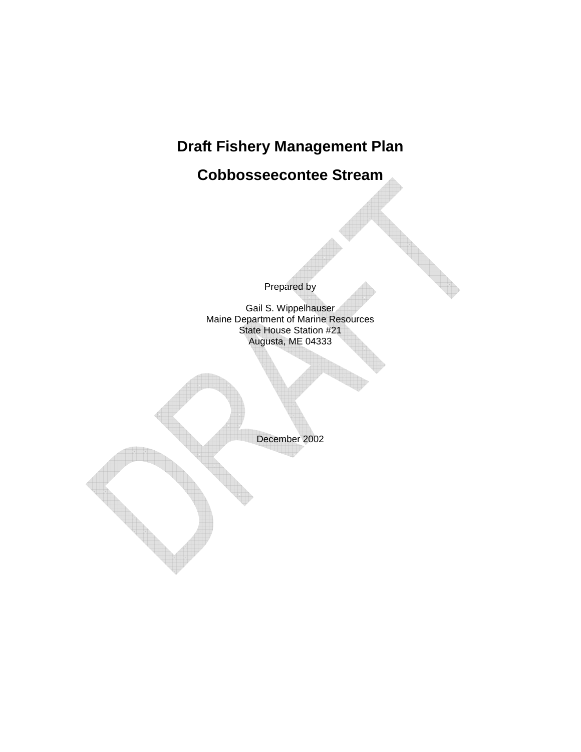# **Draft Fishery Management Plan**

**Cobbosseecontee Stream** 

Prepared by

Gail S. Wippelhauser Maine Department of Marine Resources State House Station #21 Augusta, ME 04333

December 2002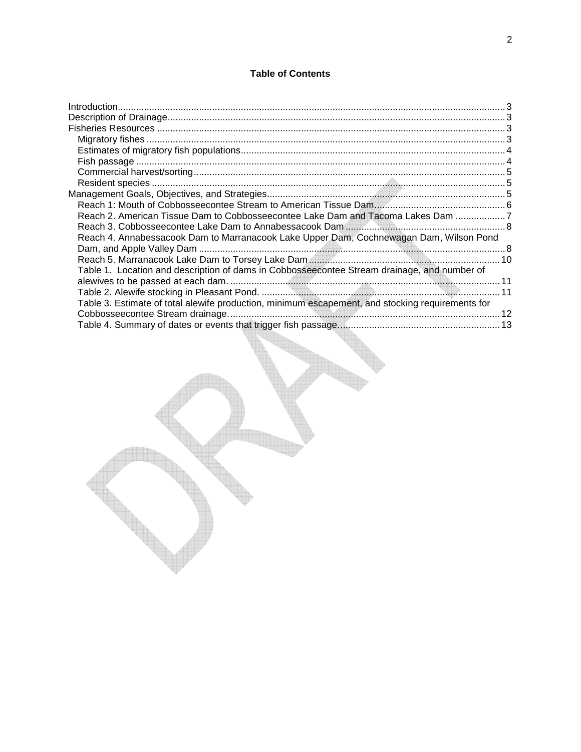# **Table of Contents**

| Reach 2. American Tissue Dam to Cobbosseecontee Lake Dam and Tacoma Lakes Dam 7                  |  |
|--------------------------------------------------------------------------------------------------|--|
|                                                                                                  |  |
| Reach 4. Annabessacook Dam to Marranacook Lake Upper Dam, Cochnewagan Dam, Wilson Pond           |  |
|                                                                                                  |  |
|                                                                                                  |  |
| Table 1. Location and description of dams in Cobbosseecontee Stream drainage, and number of      |  |
|                                                                                                  |  |
|                                                                                                  |  |
| Table 3. Estimate of total alewife production, minimum escapement, and stocking requirements for |  |
|                                                                                                  |  |
|                                                                                                  |  |
|                                                                                                  |  |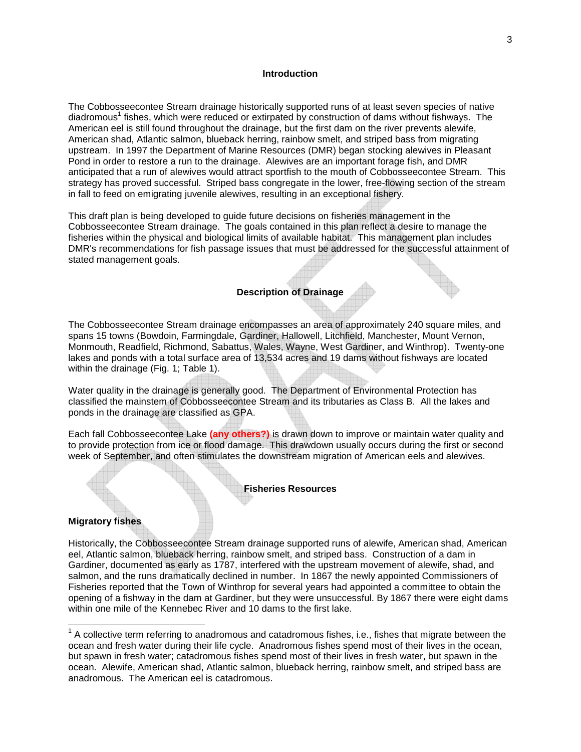#### **Introduction**

The Cobbosseecontee Stream drainage historically supported runs of at least seven species of native diadromous<sup>1</sup> fishes, which were reduced or extirpated by construction of dams without fishways. The American eel is still found throughout the drainage, but the first dam on the river prevents alewife, American shad, Atlantic salmon, blueback herring, rainbow smelt, and striped bass from migrating upstream. In 1997 the Department of Marine Resources (DMR) began stocking alewives in Pleasant Pond in order to restore a run to the drainage. Alewives are an important forage fish, and DMR anticipated that a run of alewives would attract sportfish to the mouth of Cobbosseecontee Stream. This strategy has proved successful. Striped bass congregate in the lower, free-flowing section of the stream in fall to feed on emigrating juvenile alewives, resulting in an exceptional fishery.

This draft plan is being developed to guide future decisions on fisheries management in the Cobbosseecontee Stream drainage. The goals contained in this plan reflect a desire to manage the fisheries within the physical and biological limits of available habitat. This management plan includes DMR's recommendations for fish passage issues that must be addressed for the successful attainment of stated management goals.

# **Description of Drainage**

The Cobbosseecontee Stream drainage encompasses an area of approximately 240 square miles, and spans 15 towns (Bowdoin, Farmingdale, Gardiner, Hallowell, Litchfield, Manchester, Mount Vernon, Monmouth, Readfield, Richmond, Sabattus, Wales, Wayne, West Gardiner, and Winthrop). Twenty-one lakes and ponds with a total surface area of 13,534 acres and 19 dams without fishways are located within the drainage (Fig. 1; Table 1).

Water quality in the drainage is generally good. The Department of Environmental Protection has classified the mainstem of Cobbosseecontee Stream and its tributaries as Class B. All the lakes and ponds in the drainage are classified as GPA.

Each fall Cobbosseecontee Lake **(any others?)** is drawn down to improve or maintain water quality and to provide protection from ice or flood damage. This drawdown usually occurs during the first or second week of September, and often stimulates the downstream migration of American eels and alewives.

#### **Fisheries Resources**

# **Migratory fishes**

l

Historically, the Cobbosseecontee Stream drainage supported runs of alewife, American shad, American eel, Atlantic salmon, blueback herring, rainbow smelt, and striped bass. Construction of a dam in Gardiner, documented as early as 1787, interfered with the upstream movement of alewife, shad, and salmon, and the runs dramatically declined in number. In 1867 the newly appointed Commissioners of Fisheries reported that the Town of Winthrop for several years had appointed a committee to obtain the opening of a fishway in the dam at Gardiner, but they were unsuccessful. By 1867 there were eight dams within one mile of the Kennebec River and 10 dams to the first lake.

 $1$  A collective term referring to anadromous and catadromous fishes, i.e., fishes that migrate between the ocean and fresh water during their life cycle. Anadromous fishes spend most of their lives in the ocean, but spawn in fresh water; catadromous fishes spend most of their lives in fresh water, but spawn in the ocean. Alewife, American shad, Atlantic salmon, blueback herring, rainbow smelt, and striped bass are anadromous. The American eel is catadromous.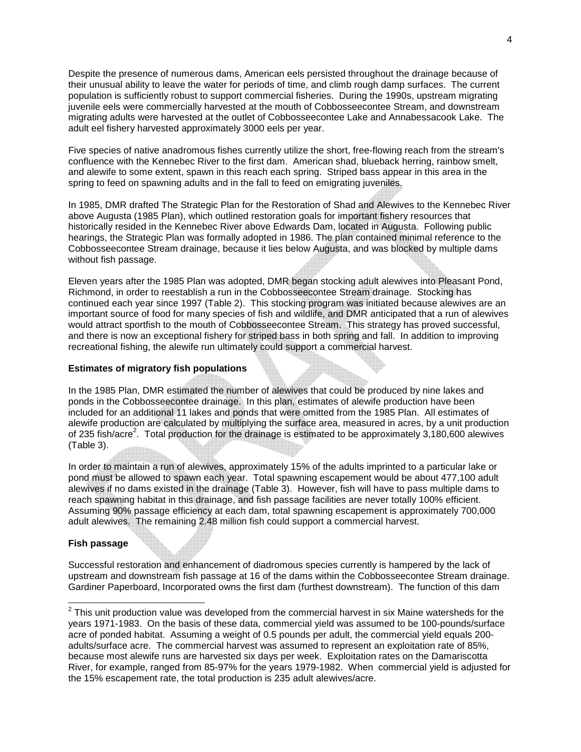Despite the presence of numerous dams, American eels persisted throughout the drainage because of their unusual ability to leave the water for periods of time, and climb rough damp surfaces. The current population is sufficiently robust to support commercial fisheries. During the 1990s, upstream migrating juvenile eels were commercially harvested at the mouth of Cobbosseecontee Stream, and downstream migrating adults were harvested at the outlet of Cobbosseecontee Lake and Annabessacook Lake. The adult eel fishery harvested approximately 3000 eels per year.

Five species of native anadromous fishes currently utilize the short, free-flowing reach from the stream's confluence with the Kennebec River to the first dam. American shad, blueback herring, rainbow smelt, and alewife to some extent, spawn in this reach each spring. Striped bass appear in this area in the spring to feed on spawning adults and in the fall to feed on emigrating juveniles.

In 1985, DMR drafted The Strategic Plan for the Restoration of Shad and Alewives to the Kennebec River above Augusta (1985 Plan), which outlined restoration goals for important fishery resources that historically resided in the Kennebec River above Edwards Dam, located in Augusta. Following public hearings, the Strategic Plan was formally adopted in 1986. The plan contained minimal reference to the Cobbosseecontee Stream drainage, because it lies below Augusta, and was blocked by multiple dams without fish passage.

Eleven years after the 1985 Plan was adopted, DMR began stocking adult alewives into Pleasant Pond, Richmond, in order to reestablish a run in the Cobbosseecontee Stream drainage. Stocking has continued each year since 1997 (Table 2). This stocking program was initiated because alewives are an important source of food for many species of fish and wildlife, and DMR anticipated that a run of alewives would attract sportfish to the mouth of Cobbosseecontee Stream. This strategy has proved successful, and there is now an exceptional fishery for striped bass in both spring and fall. In addition to improving recreational fishing, the alewife run ultimately could support a commercial harvest.

# **Estimates of migratory fish populations**

In the 1985 Plan, DMR estimated the number of alewives that could be produced by nine lakes and ponds in the Cobbosseecontee drainage. In this plan, estimates of alewife production have been included for an additional 11 lakes and ponds that were omitted from the 1985 Plan. All estimates of alewife production are calculated by multiplying the surface area, measured in acres, by a unit production of 235 fish/acre<sup>2</sup>. Total production for the drainage is estimated to be approximately 3,180,600 alewives (Table 3).

In order to maintain a run of alewives, approximately 15% of the adults imprinted to a particular lake or pond must be allowed to spawn each year. Total spawning escapement would be about 477,100 adult alewives if no dams existed in the drainage (Table 3). However, fish will have to pass multiple dams to reach spawning habitat in this drainage, and fish passage facilities are never totally 100% efficient. Assuming 90% passage efficiency at each dam, total spawning escapement is approximately 700,000 adult alewives. The remaining 2.48 million fish could support a commercial harvest.

# **Fish passage**

Successful restoration and enhancement of diadromous species currently is hampered by the lack of upstream and downstream fish passage at 16 of the dams within the Cobbosseecontee Stream drainage. Gardiner Paperboard, Incorporated owns the first dam (furthest downstream). The function of this dam

 2 This unit production value was developed from the commercial harvest in six Maine watersheds for the years 1971-1983. On the basis of these data, commercial yield was assumed to be 100-pounds/surface acre of ponded habitat. Assuming a weight of 0.5 pounds per adult, the commercial yield equals 200 adults/surface acre. The commercial harvest was assumed to represent an exploitation rate of 85%, because most alewife runs are harvested six days per week. Exploitation rates on the Damariscotta River, for example, ranged from 85-97% for the years 1979-1982. When commercial yield is adjusted for the 15% escapement rate, the total production is 235 adult alewives/acre.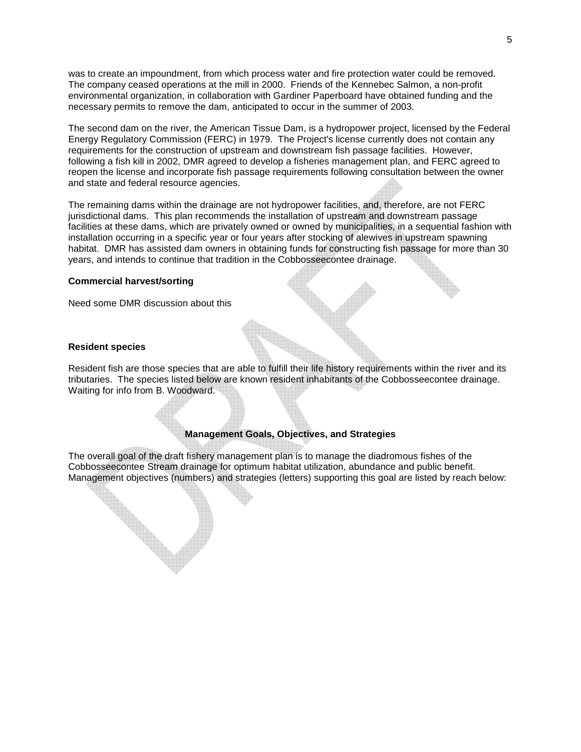was to create an impoundment, from which process water and fire protection water could be removed. The company ceased operations at the mill in 2000. Friends of the Kennebec Salmon, a non-profit environmental organization, in collaboration with Gardiner Paperboard have obtained funding and the necessary permits to remove the dam, anticipated to occur in the summer of 2003.

The second dam on the river, the American Tissue Dam, is a hydropower project, licensed by the Federal Energy Regulatory Commission (FERC) in 1979. The Project's license currently does not contain any requirements for the construction of upstream and downstream fish passage facilities. However, following a fish kill in 2002, DMR agreed to develop a fisheries management plan, and FERC agreed to reopen the license and incorporate fish passage requirements following consultation between the owner and state and federal resource agencies.

The remaining dams within the drainage are not hydropower facilities, and, therefore, are not FERC jurisdictional dams. This plan recommends the installation of upstream and downstream passage facilities at these dams, which are privately owned or owned by municipalities, in a sequential fashion with installation occurring in a specific year or four years after stocking of alewives in upstream spawning habitat. DMR has assisted dam owners in obtaining funds for constructing fish passage for more than 30 years, and intends to continue that tradition in the Cobbosseecontee drainage.

#### **Commercial harvest/sorting**

Need some DMR discussion about this

#### **Resident species**

Resident fish are those species that are able to fulfill their life history requirements within the river and its tributaries. The species listed below are known resident inhabitants of the Cobbosseecontee drainage. Waiting for info from B. Woodward.

# **Management Goals, Objectives, and Strategies**

The overall goal of the draft fishery management plan is to manage the diadromous fishes of the Cobbosseecontee Stream drainage for optimum habitat utilization, abundance and public benefit. Management objectives (numbers) and strategies (letters) supporting this goal are listed by reach below: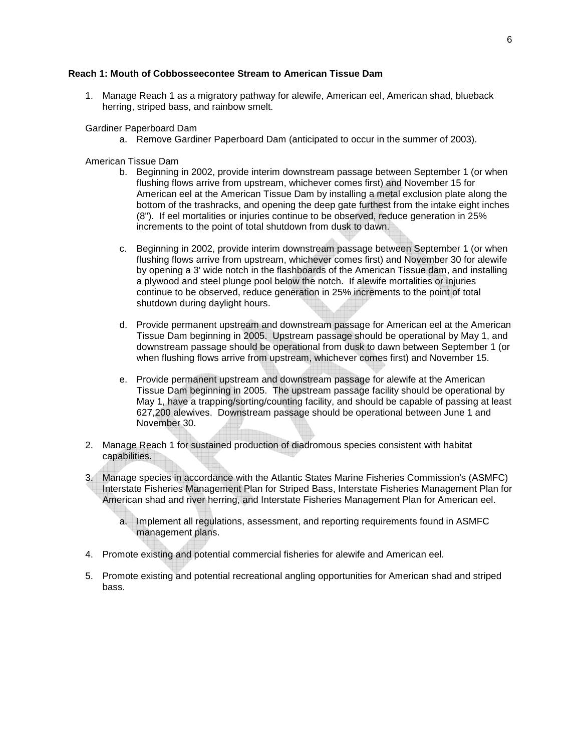#### **Reach 1: Mouth of Cobbosseecontee Stream to American Tissue Dam**

1. Manage Reach 1 as a migratory pathway for alewife, American eel, American shad, blueback herring, striped bass, and rainbow smelt.

Gardiner Paperboard Dam

a. Remove Gardiner Paperboard Dam (anticipated to occur in the summer of 2003).

American Tissue Dam

- b. Beginning in 2002, provide interim downstream passage between September 1 (or when flushing flows arrive from upstream, whichever comes first) and November 15 for American eel at the American Tissue Dam by installing a metal exclusion plate along the bottom of the trashracks, and opening the deep gate furthest from the intake eight inches (8"). If eel mortalities or injuries continue to be observed, reduce generation in 25% increments to the point of total shutdown from dusk to dawn.
- c. Beginning in 2002, provide interim downstream passage between September 1 (or when flushing flows arrive from upstream, whichever comes first) and November 30 for alewife by opening a 3' wide notch in the flashboards of the American Tissue dam, and installing a plywood and steel plunge pool below the notch. If alewife mortalities or injuries continue to be observed, reduce generation in 25% increments to the point of total shutdown during daylight hours.
- d. Provide permanent upstream and downstream passage for American eel at the American Tissue Dam beginning in 2005. Upstream passage should be operational by May 1, and downstream passage should be operational from dusk to dawn between September 1 (or when flushing flows arrive from upstream, whichever comes first) and November 15.
- e. Provide permanent upstream and downstream passage for alewife at the American Tissue Dam beginning in 2005. The upstream passage facility should be operational by May 1, have a trapping/sorting/counting facility, and should be capable of passing at least 627,200 alewives. Downstream passage should be operational between June 1 and November 30.
- 2. Manage Reach 1 for sustained production of diadromous species consistent with habitat capabilities.
- 3. Manage species in accordance with the Atlantic States Marine Fisheries Commission's (ASMFC) Interstate Fisheries Management Plan for Striped Bass, Interstate Fisheries Management Plan for American shad and river herring, and Interstate Fisheries Management Plan for American eel.
	- a. Implement all regulations, assessment, and reporting requirements found in ASMFC management plans.
- 4. Promote existing and potential commercial fisheries for alewife and American eel.
- 5. Promote existing and potential recreational angling opportunities for American shad and striped bass.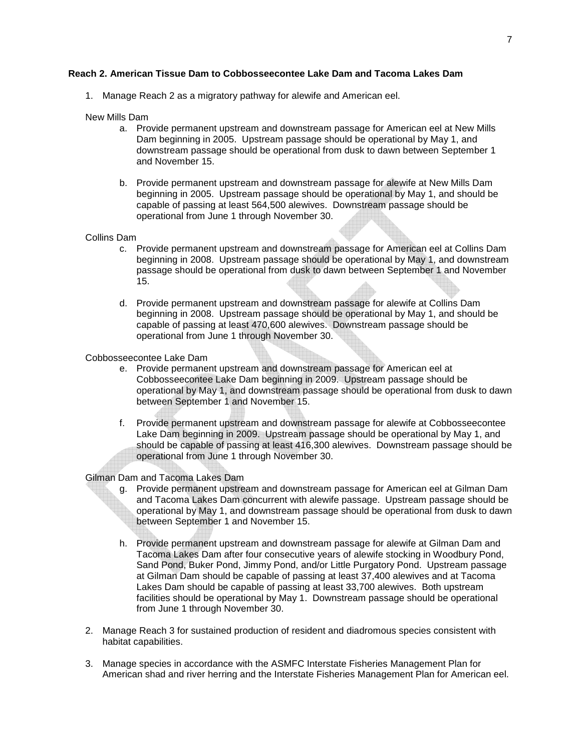# **Reach 2. American Tissue Dam to Cobbosseecontee Lake Dam and Tacoma Lakes Dam**

1. Manage Reach 2 as a migratory pathway for alewife and American eel.

#### New Mills Dam

- a. Provide permanent upstream and downstream passage for American eel at New Mills Dam beginning in 2005. Upstream passage should be operational by May 1, and downstream passage should be operational from dusk to dawn between September 1 and November 15.
- b. Provide permanent upstream and downstream passage for alewife at New Mills Dam beginning in 2005. Upstream passage should be operational by May 1, and should be capable of passing at least 564,500 alewives. Downstream passage should be operational from June 1 through November 30.

#### Collins Dam

- c. Provide permanent upstream and downstream passage for American eel at Collins Dam beginning in 2008. Upstream passage should be operational by May 1, and downstream passage should be operational from dusk to dawn between September 1 and November 15.
- d. Provide permanent upstream and downstream passage for alewife at Collins Dam beginning in 2008. Upstream passage should be operational by May 1, and should be capable of passing at least 470,600 alewives. Downstream passage should be operational from June 1 through November 30.

#### Cobbosseecontee Lake Dam

- e. Provide permanent upstream and downstream passage for American eel at Cobbosseecontee Lake Dam beginning in 2009. Upstream passage should be operational by May 1, and downstream passage should be operational from dusk to dawn between September 1 and November 15.
- f. Provide permanent upstream and downstream passage for alewife at Cobbosseecontee Lake Dam beginning in 2009. Upstream passage should be operational by May 1, and should be capable of passing at least 416,300 alewives. Downstream passage should be operational from June 1 through November 30.

# Gilman Dam and Tacoma Lakes Dam

- g. Provide permanent upstream and downstream passage for American eel at Gilman Dam and Tacoma Lakes Dam concurrent with alewife passage. Upstream passage should be operational by May 1, and downstream passage should be operational from dusk to dawn between September 1 and November 15.
- h. Provide permanent upstream and downstream passage for alewife at Gilman Dam and Tacoma Lakes Dam after four consecutive years of alewife stocking in Woodbury Pond, Sand Pond, Buker Pond, Jimmy Pond, and/or Little Purgatory Pond. Upstream passage at Gilman Dam should be capable of passing at least 37,400 alewives and at Tacoma Lakes Dam should be capable of passing at least 33,700 alewives. Both upstream facilities should be operational by May 1. Downstream passage should be operational from June 1 through November 30.
- 2. Manage Reach 3 for sustained production of resident and diadromous species consistent with habitat capabilities.
- 3. Manage species in accordance with the ASMFC Interstate Fisheries Management Plan for American shad and river herring and the Interstate Fisheries Management Plan for American eel.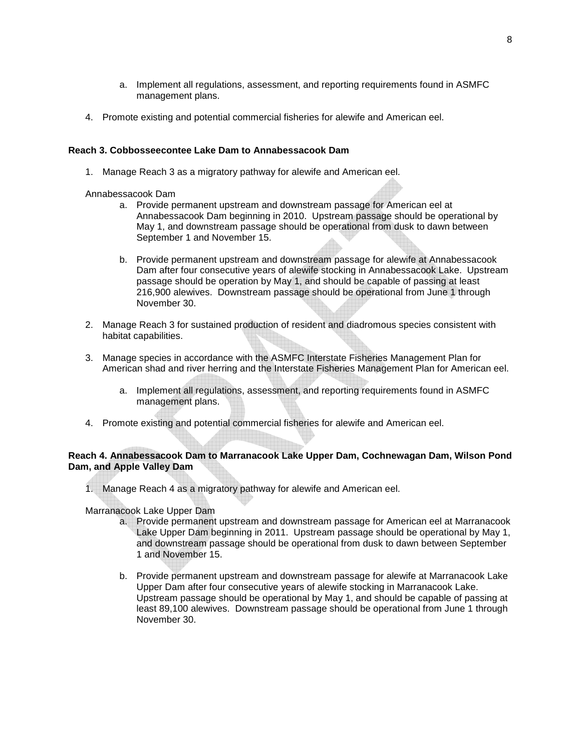- a. Implement all regulations, assessment, and reporting requirements found in ASMFC management plans.
- 4. Promote existing and potential commercial fisheries for alewife and American eel.

# **Reach 3. Cobbosseecontee Lake Dam to Annabessacook Dam**

1. Manage Reach 3 as a migratory pathway for alewife and American eel.

# Annabessacook Dam

- a. Provide permanent upstream and downstream passage for American eel at Annabessacook Dam beginning in 2010. Upstream passage should be operational by May 1, and downstream passage should be operational from dusk to dawn between September 1 and November 15.
- b. Provide permanent upstream and downstream passage for alewife at Annabessacook Dam after four consecutive years of alewife stocking in Annabessacook Lake. Upstream passage should be operation by May 1, and should be capable of passing at least 216,900 alewives. Downstream passage should be operational from June 1 through November 30.
- 2. Manage Reach 3 for sustained production of resident and diadromous species consistent with habitat capabilities.
- 3. Manage species in accordance with the ASMFC Interstate Fisheries Management Plan for American shad and river herring and the Interstate Fisheries Management Plan for American eel.
	- a. Implement all regulations, assessment, and reporting requirements found in ASMFC management plans.
- 4. Promote existing and potential commercial fisheries for alewife and American eel.

# **Reach 4. Annabessacook Dam to Marranacook Lake Upper Dam, Cochnewagan Dam, Wilson Pond Dam, and Apple Valley Dam**

1. Manage Reach 4 as a migratory pathway for alewife and American eel.

Marranacook Lake Upper Dam

- a. Provide permanent upstream and downstream passage for American eel at Marranacook Lake Upper Dam beginning in 2011. Upstream passage should be operational by May 1, and downstream passage should be operational from dusk to dawn between September 1 and November 15.
- b. Provide permanent upstream and downstream passage for alewife at Marranacook Lake Upper Dam after four consecutive years of alewife stocking in Marranacook Lake. Upstream passage should be operational by May 1, and should be capable of passing at least 89,100 alewives. Downstream passage should be operational from June 1 through November 30.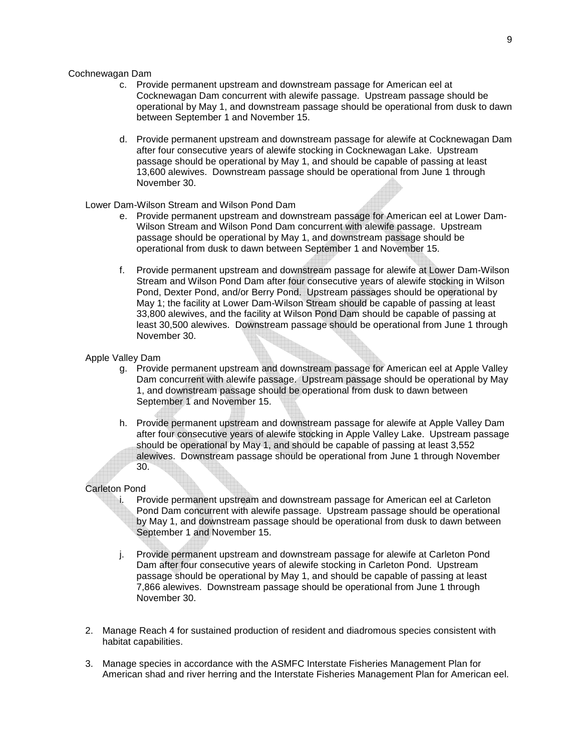#### Cochnewagan Dam

- c. Provide permanent upstream and downstream passage for American eel at Cocknewagan Dam concurrent with alewife passage. Upstream passage should be operational by May 1, and downstream passage should be operational from dusk to dawn between September 1 and November 15.
- d. Provide permanent upstream and downstream passage for alewife at Cocknewagan Dam after four consecutive years of alewife stocking in Cocknewagan Lake. Upstream passage should be operational by May 1, and should be capable of passing at least 13,600 alewives. Downstream passage should be operational from June 1 through November 30.

# Lower Dam-Wilson Stream and Wilson Pond Dam

- e. Provide permanent upstream and downstream passage for American eel at Lower Dam-Wilson Stream and Wilson Pond Dam concurrent with alewife passage. Upstream passage should be operational by May 1, and downstream passage should be operational from dusk to dawn between September 1 and November 15.
- f. Provide permanent upstream and downstream passage for alewife at Lower Dam-Wilson Stream and Wilson Pond Dam after four consecutive years of alewife stocking in Wilson Pond, Dexter Pond, and/or Berry Pond. Upstream passages should be operational by May 1; the facility at Lower Dam-Wilson Stream should be capable of passing at least 33,800 alewives, and the facility at Wilson Pond Dam should be capable of passing at least 30,500 alewives. Downstream passage should be operational from June 1 through November 30.

#### Apple Valley Dam

- g. Provide permanent upstream and downstream passage for American eel at Apple Valley Dam concurrent with alewife passage. Upstream passage should be operational by May 1, and downstream passage should be operational from dusk to dawn between September 1 and November 15.
- h. Provide permanent upstream and downstream passage for alewife at Apple Valley Dam after four consecutive years of alewife stocking in Apple Valley Lake. Upstream passage should be operational by May 1, and should be capable of passing at least 3,552 alewives. Downstream passage should be operational from June 1 through November 30.

# Carleton Pond

- i. Provide permanent upstream and downstream passage for American eel at Carleton Pond Dam concurrent with alewife passage. Upstream passage should be operational by May 1, and downstream passage should be operational from dusk to dawn between September 1 and November 15.
- j. Provide permanent upstream and downstream passage for alewife at Carleton Pond Dam after four consecutive years of alewife stocking in Carleton Pond. Upstream passage should be operational by May 1, and should be capable of passing at least 7,866 alewives. Downstream passage should be operational from June 1 through November 30.
- 2. Manage Reach 4 for sustained production of resident and diadromous species consistent with habitat capabilities.
- 3. Manage species in accordance with the ASMFC Interstate Fisheries Management Plan for American shad and river herring and the Interstate Fisheries Management Plan for American eel.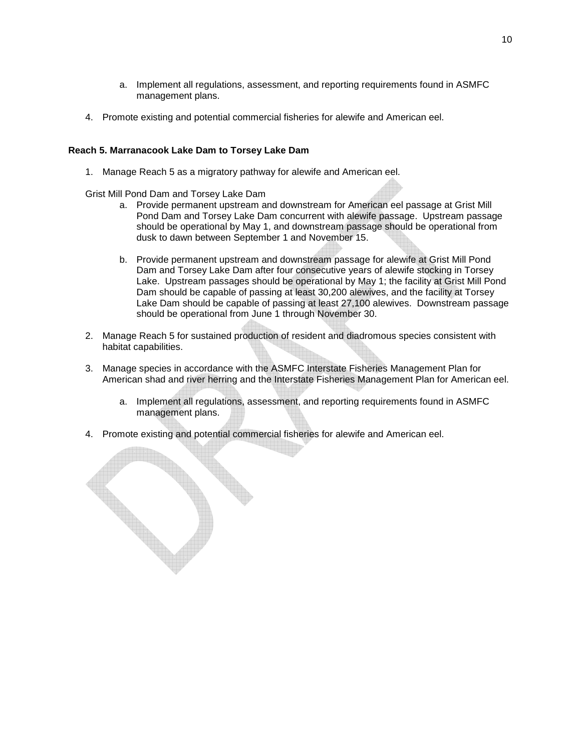- a. Implement all regulations, assessment, and reporting requirements found in ASMFC management plans.
- 4. Promote existing and potential commercial fisheries for alewife and American eel.

# **Reach 5. Marranacook Lake Dam to Torsey Lake Dam**

1. Manage Reach 5 as a migratory pathway for alewife and American eel.

Grist Mill Pond Dam and Torsey Lake Dam

- a. Provide permanent upstream and downstream for American eel passage at Grist Mill Pond Dam and Torsey Lake Dam concurrent with alewife passage. Upstream passage should be operational by May 1, and downstream passage should be operational from dusk to dawn between September 1 and November 15.
- b. Provide permanent upstream and downstream passage for alewife at Grist Mill Pond Dam and Torsey Lake Dam after four consecutive years of alewife stocking in Torsey Lake. Upstream passages should be operational by May 1; the facility at Grist Mill Pond Dam should be capable of passing at least 30,200 alewives, and the facility at Torsey Lake Dam should be capable of passing at least 27,100 alewives. Downstream passage should be operational from June 1 through November 30.
- 2. Manage Reach 5 for sustained production of resident and diadromous species consistent with habitat capabilities.
- 3. Manage species in accordance with the ASMFC Interstate Fisheries Management Plan for American shad and river herring and the Interstate Fisheries Management Plan for American eel.
	- a. Implement all regulations, assessment, and reporting requirements found in ASMFC management plans.
- 4. Promote existing and potential commercial fisheries for alewife and American eel.

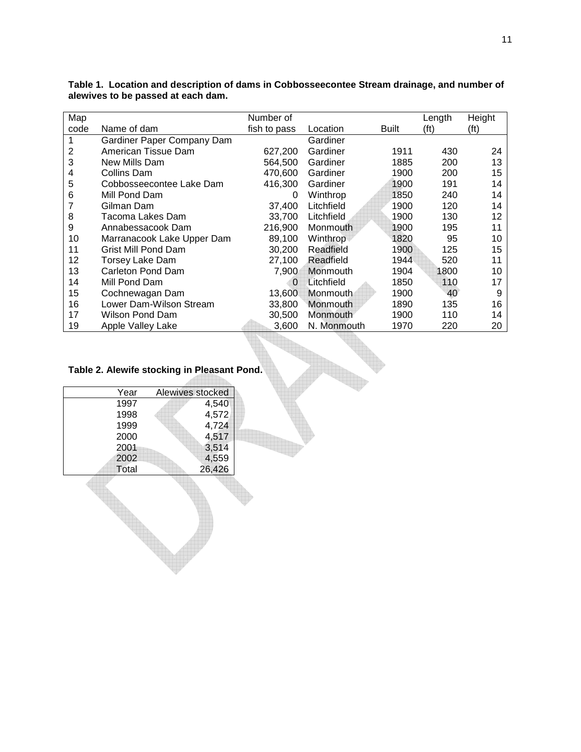| Map  |                            | Number of    |             |              | Length            | Height |
|------|----------------------------|--------------|-------------|--------------|-------------------|--------|
| code | Name of dam                | fish to pass | Location    | <b>Built</b> | (f <sup>t</sup> ) | (ft)   |
|      | Gardiner Paper Company Dam |              | Gardiner    |              |                   |        |
| 2    | American Tissue Dam        | 627,200      | Gardiner    | 1911         | 430               | 24     |
| 3    | New Mills Dam              | 564.500      | Gardiner    | 1885         | 200               | 13     |
| 4    | Collins Dam                | 470,600      | Gardiner    | 1900         | 200               | 15     |
| 5    | Cobbosseecontee Lake Dam   | 416,300      | Gardiner    | 1900         | 191               | 14     |
| 6    | Mill Pond Dam              | 0            | Winthrop    | 1850         | 240               | 14     |
|      | Gilman Dam                 | 37,400       | Litchfield  | 1900         | 120               | 14     |
| 8    | Tacoma Lakes Dam           | 33.700       | Litchfield  | 1900         | 130               | 12     |
| 9    | Annabessacook Dam          | 216,900      | Monmouth    | 1900         | 195               | 11     |
| 10   | Marranacook Lake Upper Dam | 89,100       | Winthrop    | 1820         | 95                | 10     |
| 11   | Grist Mill Pond Dam        | 30.200       | Readfield   | 1900         | 125               | 15     |
| 12   | Torsey Lake Dam            | 27,100       | Readfield   | 1944         | 520               | 11     |
| 13   | Carleton Pond Dam          | 7.900        | Monmouth    | 1904         | 1800              | 10     |
| 14   | Mill Pond Dam              | 0            | Litchfield  | 1850         | 110               | 17     |
| 15   | Cochnewagan Dam            | 13.600       | Monmouth    | 1900         | 40                | 9      |
| 16   | Lower Dam-Wilson Stream    | 33,800       | Monmouth    | 1890         | 135               | 16     |
| 17   | Wilson Pond Dam            | 30.500       | Monmouth    | 1900         | 110               | 14     |
| 19   | Apple Valley Lake          | 3.600        | N. Monmouth | 1970         | 220               | 20     |

**Table 1. Location and description of dams in Cobbosseecontee Stream drainage, and number of alewives to be passed at each dam.** 

# **Table 2. Alewife stocking in Pleasant Pond.**

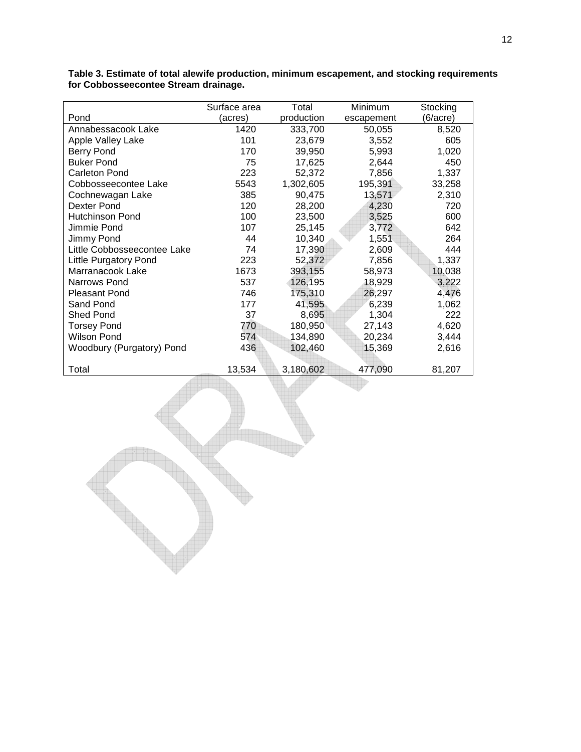| (6/acre)<br>Pond<br>production<br>(acres)<br>escapement         |     |
|-----------------------------------------------------------------|-----|
|                                                                 |     |
| 1420<br>8,520<br>Annabessacook Lake<br>333,700<br>50,055        |     |
| 101<br>Apple Valley Lake<br>23,679<br>3,552                     | 605 |
| <b>Berry Pond</b><br>170<br>39,950<br>5,993<br>1,020            |     |
| 75<br><b>Buker Pond</b><br>17,625<br>2,644                      | 450 |
| 223<br>1,337<br><b>Carleton Pond</b><br>52,372<br>7,856         |     |
| 1,302,605<br>195,391<br>Cobbosseecontee Lake<br>5543<br>33,258  |     |
| 385<br>90,475<br>13,571<br>2,310<br>Cochnewagan Lake            |     |
| Dexter Pond<br>120<br>28,200<br>4,230                           | 720 |
| <b>Hutchinson Pond</b><br>100<br>23,500<br>3,525                | 600 |
| 25,145<br>Jimmie Pond<br>107<br>3,772                           | 642 |
| 44<br>10,340<br>Jimmy Pond<br>1,551                             | 264 |
| 17,390<br>2,609<br>Little Cobbosseecontee Lake<br>74            | 444 |
| 223<br>1,337<br>52,372<br>7,856<br><b>Little Purgatory Pond</b> |     |
| Marranacook Lake<br>1673<br>393,155<br>10,038<br>58,973         |     |
| 537<br>126,195<br>3,222<br>Narrows Pond<br>18,929               |     |
| 175,310<br>26,297<br>4,476<br><b>Pleasant Pond</b><br>746       |     |
| Sand Pond<br>177<br>41,595<br>6,239<br>1,062                    |     |
| <b>Shed Pond</b><br>37<br>8,695<br>1,304                        | 222 |
| 770<br>4,620<br><b>Torsey Pond</b><br>180,950<br>27,143         |     |
| <b>Wilson Pond</b><br>574<br>20,234<br>3,444<br>134,890         |     |
| Woodbury (Purgatory) Pond<br>436<br>102,460<br>2,616<br>15,369  |     |
|                                                                 |     |
| Total<br>13,534<br>3,180,602<br>477,090<br>81,207               |     |

**Table 3. Estimate of total alewife production, minimum escapement, and stocking requirements for Cobbosseecontee Stream drainage.**